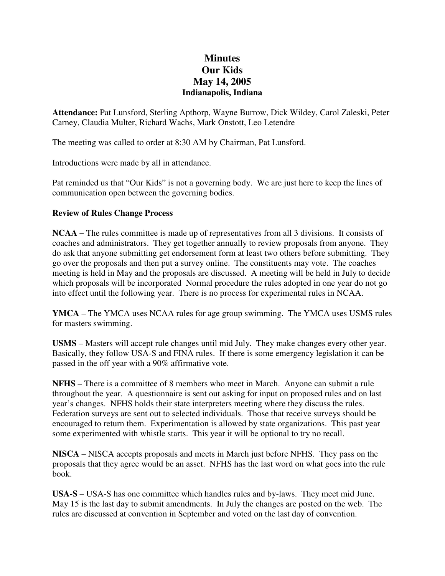## **Minutes Our Kids May 14, 2005 Indianapolis, Indiana**

**Attendance:** Pat Lunsford, Sterling Apthorp, Wayne Burrow, Dick Wildey, Carol Zaleski, Peter Carney, Claudia Multer, Richard Wachs, Mark Onstott, Leo Letendre

The meeting was called to order at 8:30 AM by Chairman, Pat Lunsford.

Introductions were made by all in attendance.

Pat reminded us that "Our Kids" is not a governing body. We are just here to keep the lines of communication open between the governing bodies.

## **Review of Rules Change Process**

**NCAA –** The rules committee is made up of representatives from all 3 divisions. It consists of coaches and administrators. They get together annually to review proposals from anyone. They do ask that anyone submitting get endorsement form at least two others before submitting. They go over the proposals and then put a survey online. The constituents may vote. The coaches meeting is held in May and the proposals are discussed. A meeting will be held in July to decide which proposals will be incorporated Normal procedure the rules adopted in one year do not go into effect until the following year. There is no process for experimental rules in NCAA.

**YMCA** – The YMCA uses NCAA rules for age group swimming. The YMCA uses USMS rules for masters swimming.

**USMS** – Masters will accept rule changes until mid July. They make changes every other year. Basically, they follow USA-S and FINA rules. If there is some emergency legislation it can be passed in the off year with a 90% affirmative vote.

**NFHS** – There is a committee of 8 members who meet in March. Anyone can submit a rule throughout the year. A questionnaire is sent out asking for input on proposed rules and on last year's changes. NFHS holds their state interpreters meeting where they discuss the rules. Federation surveys are sent out to selected individuals. Those that receive surveys should be encouraged to return them. Experimentation is allowed by state organizations. This past year some experimented with whistle starts. This year it will be optional to try no recall.

**NISCA** – NISCA accepts proposals and meets in March just before NFHS. They pass on the proposals that they agree would be an asset. NFHS has the last word on what goes into the rule book.

**USA-S** – USA-S has one committee which handles rules and by-laws. They meet mid June. May 15 is the last day to submit amendments. In July the changes are posted on the web. The rules are discussed at convention in September and voted on the last day of convention.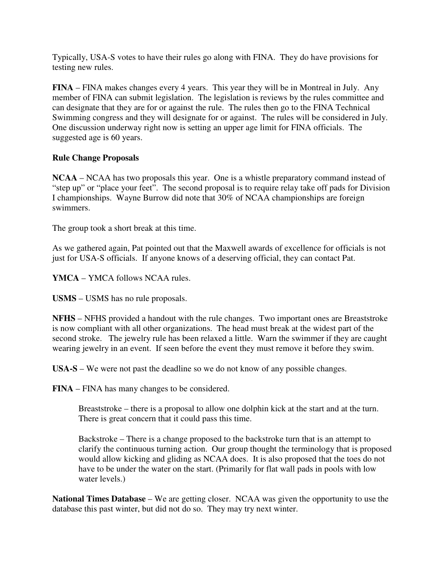Typically, USA-S votes to have their rules go along with FINA. They do have provisions for testing new rules.

**FINA** – FINA makes changes every 4 years. This year they will be in Montreal in July. Any member of FINA can submit legislation. The legislation is reviews by the rules committee and can designate that they are for or against the rule. The rules then go to the FINA Technical Swimming congress and they will designate for or against. The rules will be considered in July. One discussion underway right now is setting an upper age limit for FINA officials. The suggested age is 60 years.

## **Rule Change Proposals**

**NCAA** – NCAA has two proposals this year. One is a whistle preparatory command instead of "step up" or "place your feet". The second proposal is to require relay take off pads for Division I championships. Wayne Burrow did note that 30% of NCAA championships are foreign swimmers.

The group took a short break at this time.

As we gathered again, Pat pointed out that the Maxwell awards of excellence for officials is not just for USA-S officials. If anyone knows of a deserving official, they can contact Pat.

**YMCA** – YMCA follows NCAA rules.

**USMS** – USMS has no rule proposals.

**NFHS** – NFHS provided a handout with the rule changes. Two important ones are Breaststroke is now compliant with all other organizations. The head must break at the widest part of the second stroke. The jewelry rule has been relaxed a little. Warn the swimmer if they are caught wearing jewelry in an event. If seen before the event they must remove it before they swim.

**USA-S** – We were not past the deadline so we do not know of any possible changes.

**FINA** – FINA has many changes to be considered.

Breaststroke – there is a proposal to allow one dolphin kick at the start and at the turn. There is great concern that it could pass this time.

Backstroke – There is a change proposed to the backstroke turn that is an attempt to clarify the continuous turning action. Our group thought the terminology that is proposed would allow kicking and gliding as NCAA does. It is also proposed that the toes do not have to be under the water on the start. (Primarily for flat wall pads in pools with low water levels.)

**National Times Database** – We are getting closer. NCAA was given the opportunity to use the database this past winter, but did not do so. They may try next winter.